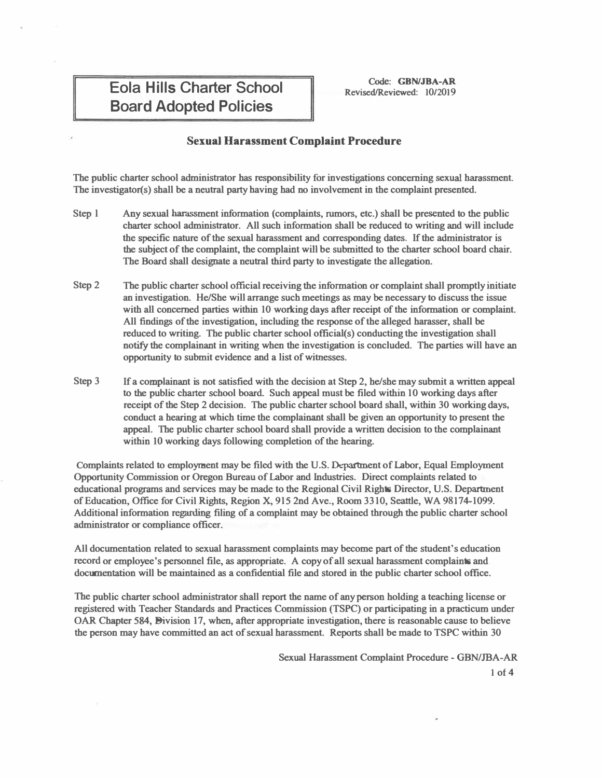## **Eola Hills Charter School Board Adopted Policies**

**Code: GBN/JBA-AR Revised/Reviewed: 10/2019** 

## **Sexual Harassment Complaint Procedure**

**The public charter school administrator has responsibility for investigations concerning sexual harassment. The investigator(s) shall be a neutral party having had no involvement in the complaint presented.** 

- **Step l Any sexual harassment information ( complaints, rumors, etc.) shall be presented to the public charter school administrator. All such information shall be reduced to writing and will include the specific nature of the sexual harassment and corresponding dates. If the administrator is the subject of the complaint, the complaint will be submitted to the charter school board chair. The Board shall designate a neutral third party to investigate the allegation.**
- **Step2 The public charter school official receiving the information or complaint shall promptly initiate an investigation. He/She will arrange such meetings as may be necessary to discuss the issue**  with all concerned parties within 10 working days after receipt of the information or complaint. **All findings of the investigation, including the response of the alleged harasser, shall be reduced to writing. The public charter school official(s) conducting the investigation shall notify the complainant in writing when the investigation is concluded. The parties will have an opportunity to submit evidence and a list of witnesses.**
- **Step 3 If a complainant is not satisfied with the decision at Step 2, he/she may submit a written appeal to the public charter school board. Such appeal must be filed within 10 working days after receipt of the Step 2 decision. The public charter school board shall, within 30 working days, conduct a hearing at which time the complainant shall be given an opportunity to present the appeal. The public charter school board shall provide a written decision to the complainant within IO working days following completion of the bearing.**

**Complaints related to employment may be filed with the U.S. Department of Labor, Equal Employment Opportunity Commission or Oregon Bureau of Labor and Industries. Direct complaints related to educational programs and services may be made to the Regional Civil Rights Director, U.S. Department of Education, Office for Civil Rights, Region X, 915 2nd Ave., Room 3310, Seattle, WA 98174-1099. Additional information regarding filing of a complaint may be obtained through the public charter school administrator or compliance officer.** 

**All documentation related to sexual harassment complaints may become part of the student's education record or employee's personnel file, as appropriate. A copy of all sexual harassment complaints and documentation will be maintained as a confidential file and stored in the public charter school office.** 

**The public charter school administrator shall report the name of any person holding a teaching license or registered with Teacher Standards and Practices Commission (TSPC) or participating in a practicum under OAR Chapter 584, Bivision 17, when, after appropriate investigation, there is reasonable cause to believe the person may have committed an act of sexual harassment. Reports shall be made to TSPC within 30** 

> **Sexual Harassment Complaint Procedure - GBN/JBA-AR 1 of 4**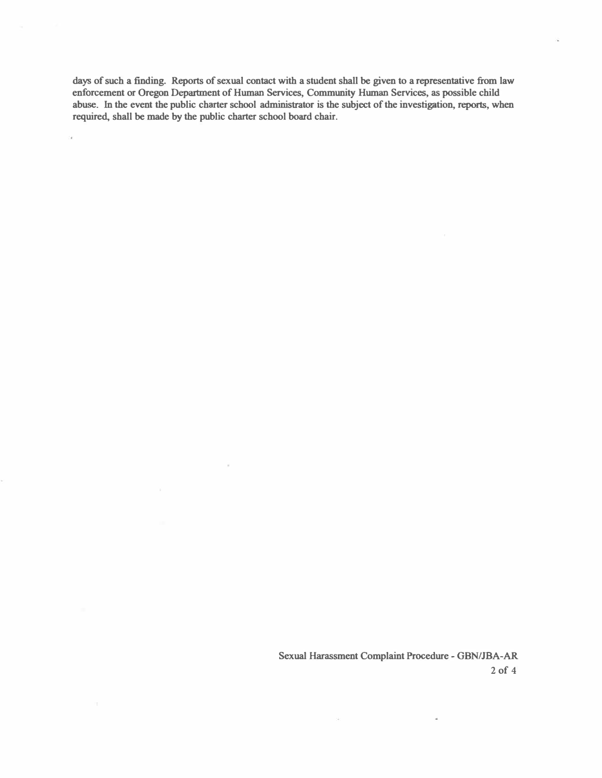**days of such a finding. Reports of sexual contact with a student shall be given to a representative from law enforcement or Oregon Department of Human Services, Community Human Services, as possible child abuse. In the event the public charter school administrator is the subject of the investigation, reports, when required, shall be made by the public charter school board chair .** 

> **Sexual Harassment Complaint Procedure - GBN/JBA-AR 2 of 4**

> > $\omega$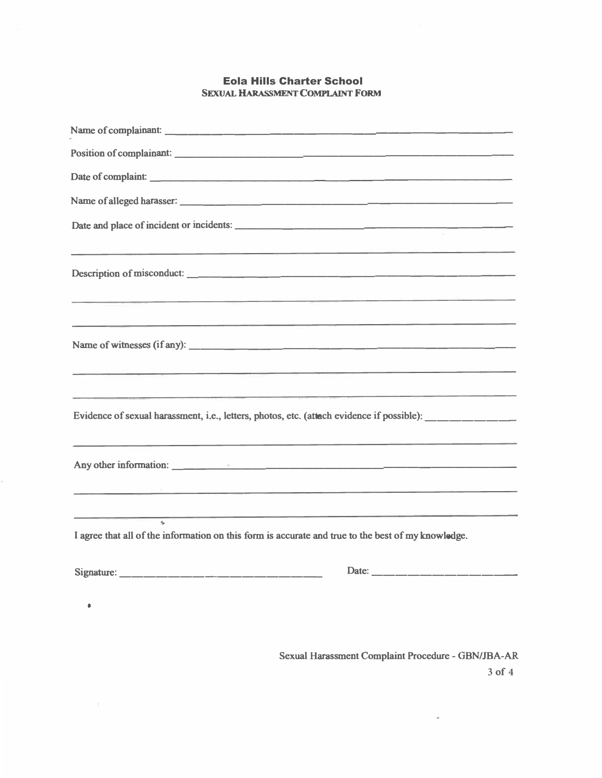## Eola Hills Charter School **SEXUAL HARASSMENT COMPLAINT FORM**

| <u> 1986 - Johann Johann Harry Barnett (f. 1986)</u>                                                                                                                                                                                 |
|--------------------------------------------------------------------------------------------------------------------------------------------------------------------------------------------------------------------------------------|
| <u>is a construction of the construction of the construction of the construction of the construction of the construction of the construction of the construction of the construction of the construction of the construction of </u> |
| <u> 1989 - Johann Amerikaanse komme en de Fryske komme fan de Fryske komme en de fan de Fryske komme</u>                                                                                                                             |
| Evidence of sexual harassment, i.e., letters, photos, etc. (attach evidence if possible): __________                                                                                                                                 |
|                                                                                                                                                                                                                                      |
| <u> 1989 - Jan J. Barristo, margolar margolar (h. 1989).</u><br><u> 1989 - Jan Barnett, fransk politiker (d. 1989)</u><br>k.<br>I agree that all of the information on this form is accurate and true to the best of my knowledge.   |
|                                                                                                                                                                                                                                      |
|                                                                                                                                                                                                                                      |
|                                                                                                                                                                                                                                      |

**Sexual Harassment Complaint Procedure - GBN/JBA-AR** 

**3 of 4**